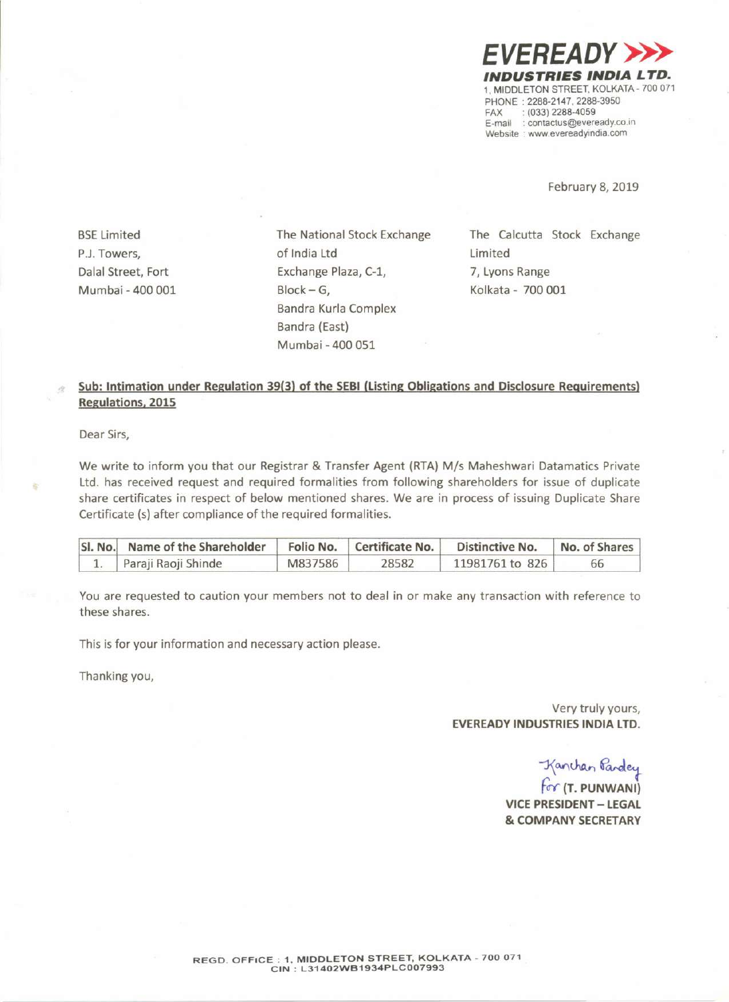

February 8, 2019

**BSE** Limited P.J.Towers, Dalal Street, Fort Mumbai - 400 001 The National Stock Exchange of India Ltd Exchange Plaza, C-1,  $Block - G$ , Sandra Kurla Complex Bandra (East) Mumbai - 400 051

The Calcutta Stock Exchange Limited 7, Lyons Range Kolkata - 700 001

### **Sub: Intimation under Regulation 39(3) of the SEBI (Listing Obligations and Disclosure Requirements) Regulations. 2015**

Dear Sirs,

ä

We write to inform you that our Registrar & Transfer Agent (RTA) *Mis* Maheshwari Datamatics Private Ltd. has received request and required formalities from following shareholders for issue of duplicate share certificates in respect of below mentioned shares. We are in process of issuing Duplicate Share Certificate (s) after compliance of the required formalities.

| SI. No. Name of the Shareholder |         | Folio No.   Certificate No. | Distinctive No. | No. of Shares |
|---------------------------------|---------|-----------------------------|-----------------|---------------|
| Paraji Raoji Shinde             | M837586 | 28582                       | 11981761 to 826 | 66            |

You are requested to caution your members not to deal in or make any transaction with reference to these shares.

This is for your information and necessary action please.

Thanking you,

Very truly yours, **EVEREADY INDUSTRIES INDIA LTD.**

-<br>Kanchan Pandey<br>For **(T. PUNWANI**)

**VICE PRESIDENT- LEGAL & COMPANY SECRETARY**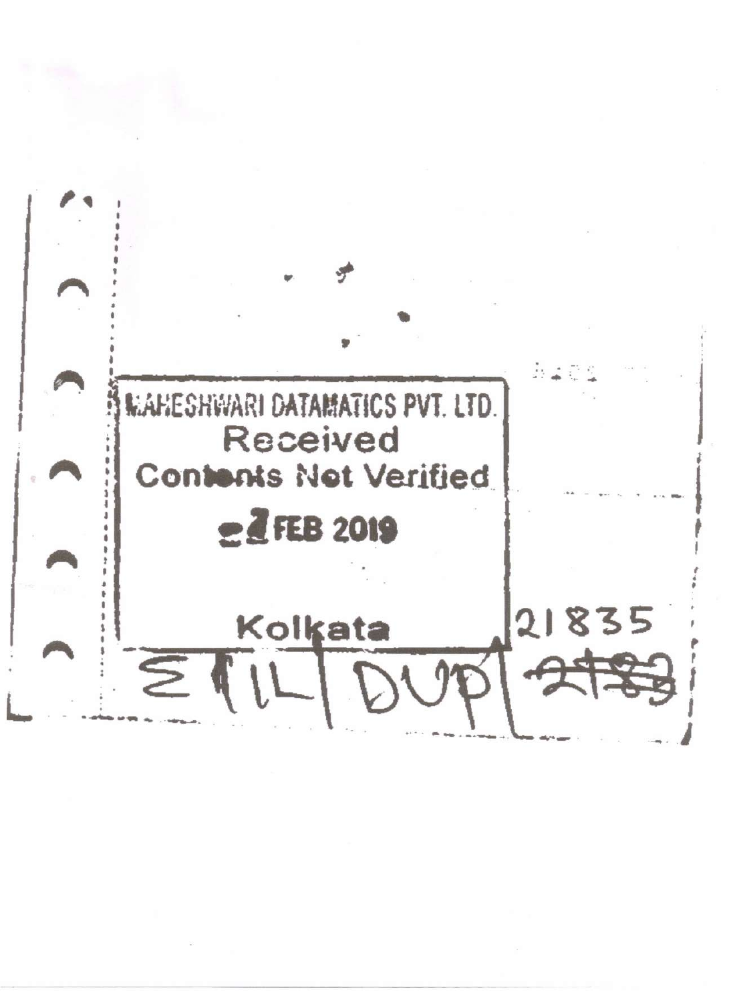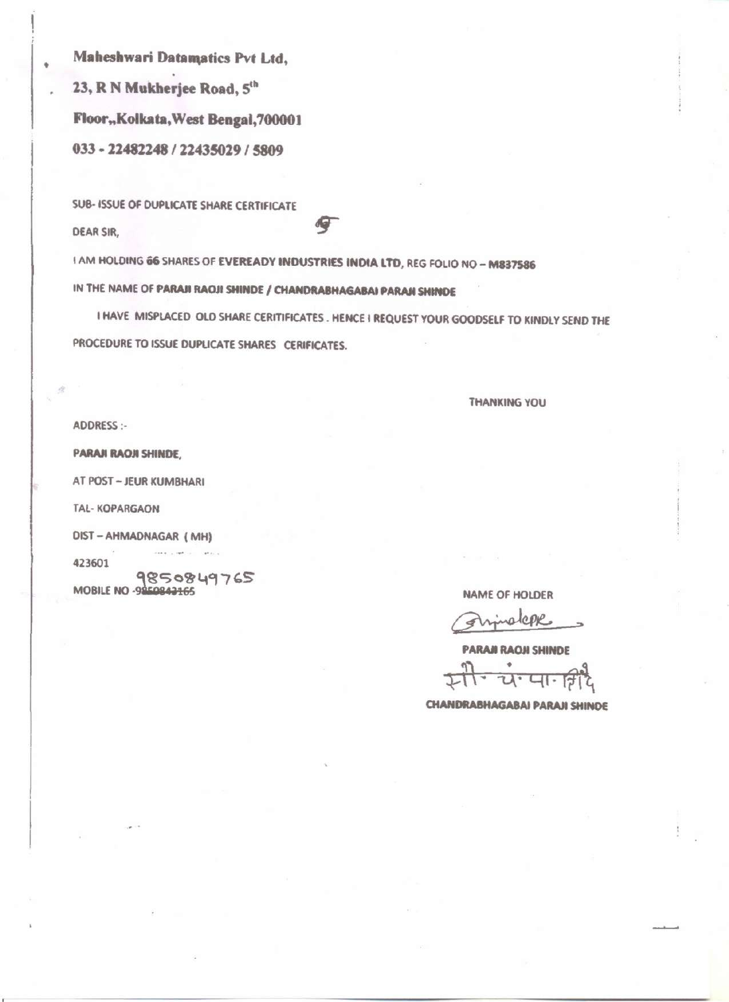Maheshwari Datamatics Pvt Ltd, 23, R N Mukherjee Road, 5th Floor, Kolkata, West Bengal, 700001 033 - 22482248 / 22435029 / 5809

**SUB- ISSUE OF DUPLICATE SHARE CERTIFICATE** 

**DEAR SIR,** 

ä

I AM HOLDING 66 SHARES OF EVEREADY INDUSTRIES INDIA LTD, REG FOLIO NO - M837586 IN THE NAME OF PARAII RAOJI SHINDE / CHANDRABHAGABAI PARAII SHINDE

I HAVE MISPLACED OLD SHARE CERITIFICATES. HENCE I REQUEST YOUR GOODSELF TO KINDLY SEND THE PROCEDURE TO ISSUE DUPLICATE SHARES CERIFICATES.

**THANKING YOU** 

ADDRESS:-

PARAJI RAOJI SHINDE,

AT POST - JEUR KUMBHARI

TAL-KOPARGAON

DIST-AHMADNAGAR (MH)

423601

9850849765

**Contract Contract** 

NAME OF HOLDER

alcove 4

**PARAJI RAOJI SHINDE** य<sup>.</sup> पान

**CHANDRABHAGABAI PARAJI SHINDE**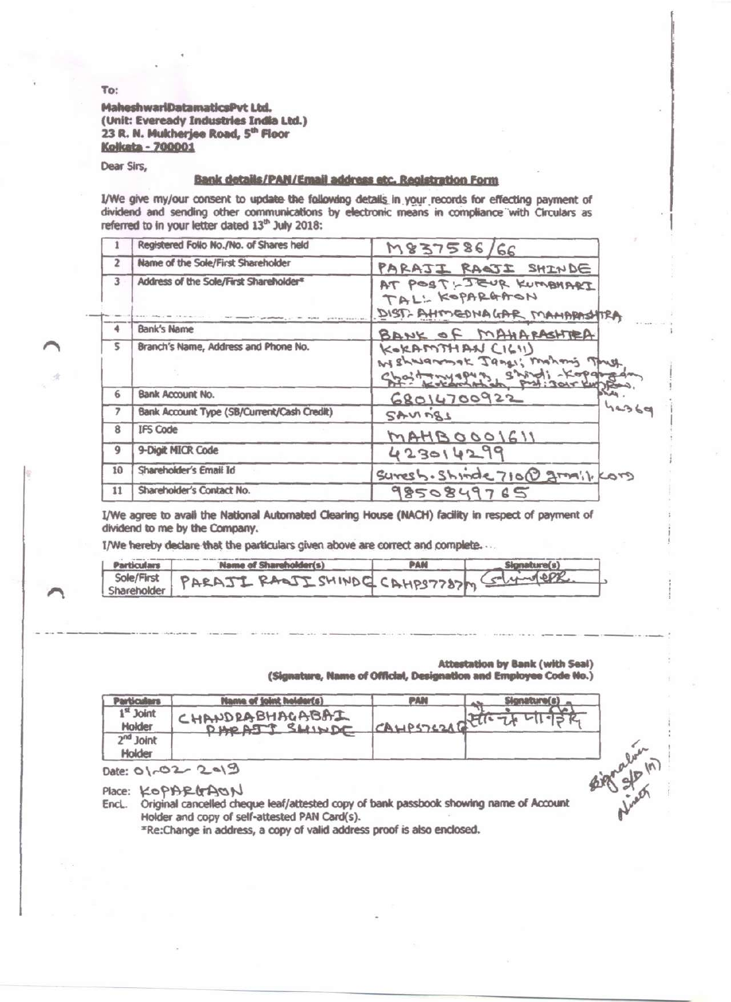#### MaheshwariDatamaticsPvt Ltd. (Unit: Eveready Industries India Ltd.) 23 R. N. Mukherjee Road, 5th Floor **Kolkata - 700001**

Dear Sirs,

#### **Bank details/PAN/Email address etc. Registration Form**

I/We give my/our consent to update the following details in your records for effecting payment of dividend and sending other communications by electronic means in compliance with Circulars as referred to in your letter dated 13th July 2018:

|    | Registered Follo No./No. of Shares held    | M837586/66                                                                             |
|----|--------------------------------------------|----------------------------------------------------------------------------------------|
| 2  | Name of the Sole/First Shareholder         | PARAJI RAQJI SHINDE                                                                    |
| 3  | Address of the Sole/First Shareholder*     | AT POST-JEUR KUMBHART<br>TAL: KOPARGAON<br>DIST-AHMEDNAGAR MAMARASHTRA                 |
| 4  | Bank's Name                                | BANK OF MAHARASHTEA                                                                    |
| 5  | Branch's Name, Address and Phone No.       | KORAMTHAN CIGII)<br>We sharamok Janes; Mohong Thrush<br>choit myspus shirti - Kopangan |
| 6  | Bank Account No.                           | 68014700922                                                                            |
| 7  | Bank Account Type (SB/Current/Cash Credit) | 44369<br>SAUMARS                                                                       |
| 8  | <b>IFS Code</b>                            | MAHBOOOIGII                                                                            |
| 9  | 9-Digit MICR Code                          | 423014299                                                                              |
| 10 | Shareholder's Email Id                     | suresh. Shinde 710@ granil, Kors                                                       |
| 11 | Shareholder's Contact No.                  | 9850849765                                                                             |

I/We agree to avail the National Automated Clearing House (NACH) facility in respect of payment of dividend to me by the Company.

I/We hereby declare that the particulars given above are correct and complete...

| Particulars | Name of Shareholder(s)                                | $-$ Signature $(s)$ |
|-------------|-------------------------------------------------------|---------------------|
|             | Sole/First PARAJI RADJI SHINDC CAHPS7787m Column CPR. |                     |
|             |                                                       |                     |

### **Attestation by Bank (with Seal)**

(Signature, Name of Official, Designation and Employee Code No.)

| <b>Particulars</b>    | <b>Hanne of joint holder(s)</b>                                                                                                        | <b>PAN</b>     | Signature(s) |            |
|-----------------------|----------------------------------------------------------------------------------------------------------------------------------------|----------------|--------------|------------|
| $1st$ Joint<br>Holder | CHANDRABHAGABAI<br>DHOATT SHINDE                                                                                                       | CAHPSTERAGETTE | w            |            |
| $2nd$ Joint<br>Holder |                                                                                                                                        |                |              |            |
|                       | Date: 01-02-2019                                                                                                                       |                |              | want of my |
| Place:                | KOPARGAON                                                                                                                              |                |              |            |
| Encl.                 | Original cancelled cheque leaf/attested copy of bank passbook showing name of Account<br>Holder and copy of self-attested PAN Card(s). |                |              |            |

\*Re:Change in address, a copy of valid address proof is also enclosed.

To: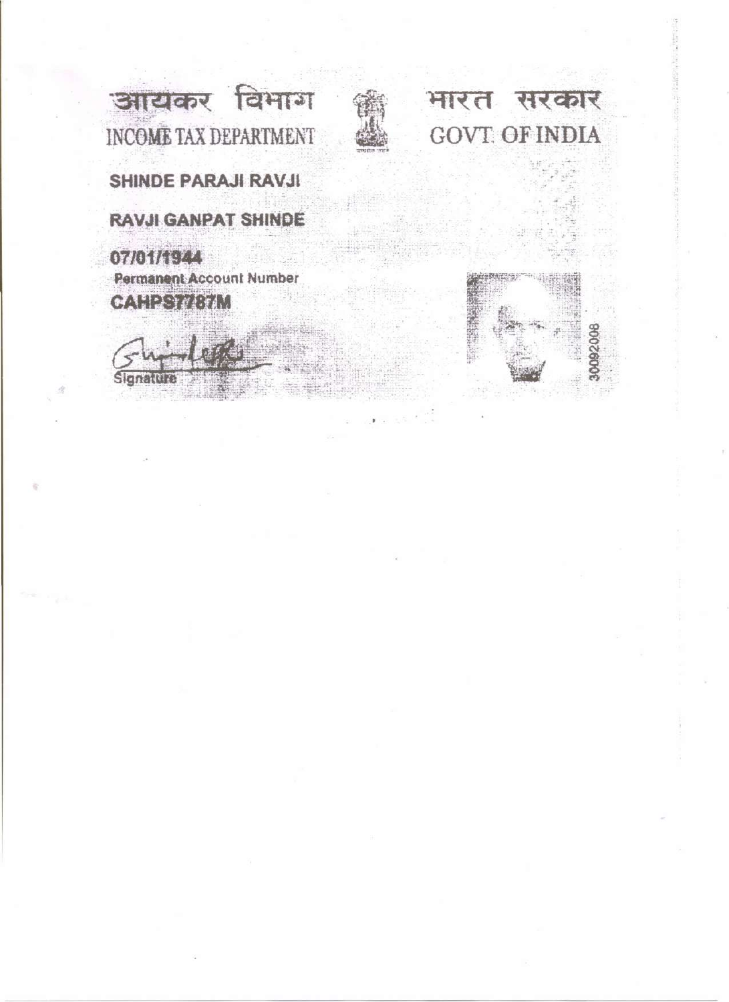आयकर विभाग INCOME TAX DEPARTMENT



भारत सरकार **GOVT. OF INDIA** 

**SHINDE PARAJI RAVJI** 

**RAVJI GANPAT SHINDE** 

07/01/1944 Permanent Account Number CAHPS

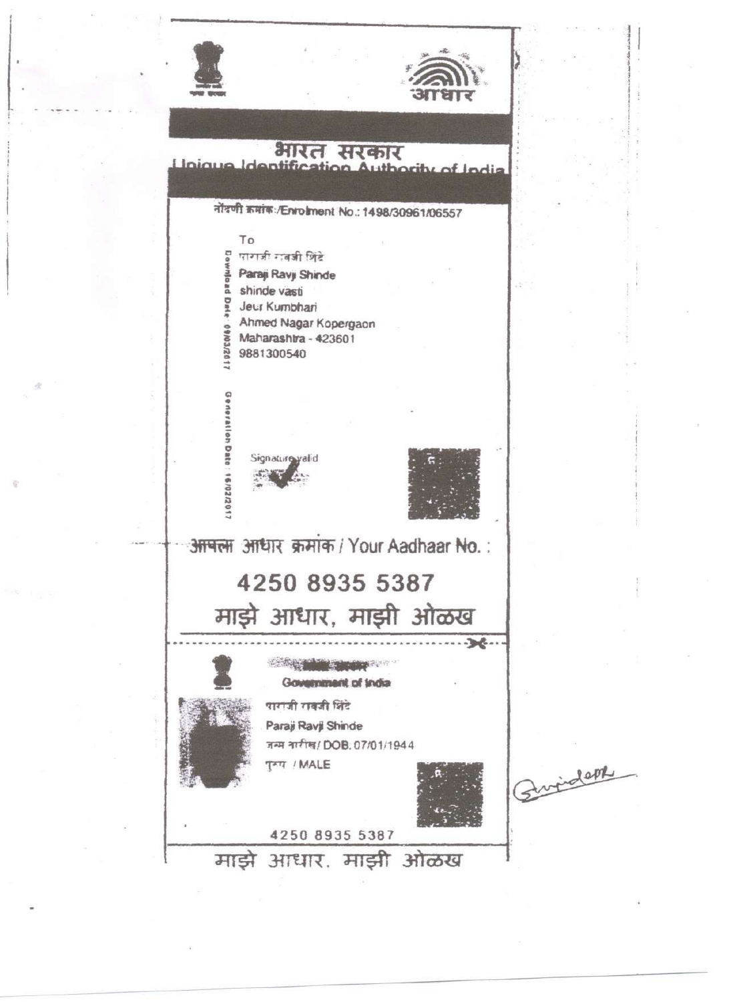

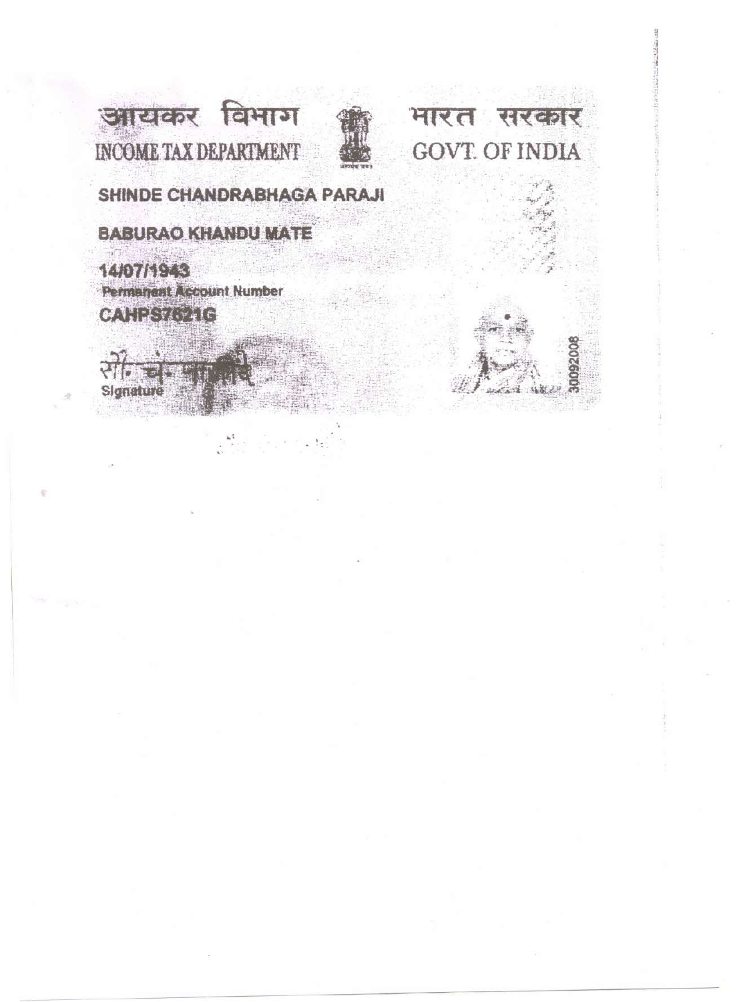

भारत सरकार **GOVT. OF INDIA** 

# SHINDE CHANDRABHAGA PARAJI

**BABURAO KHANDU MATE** 

14/07/1943 **Permanent Account Number** CAHESTONIC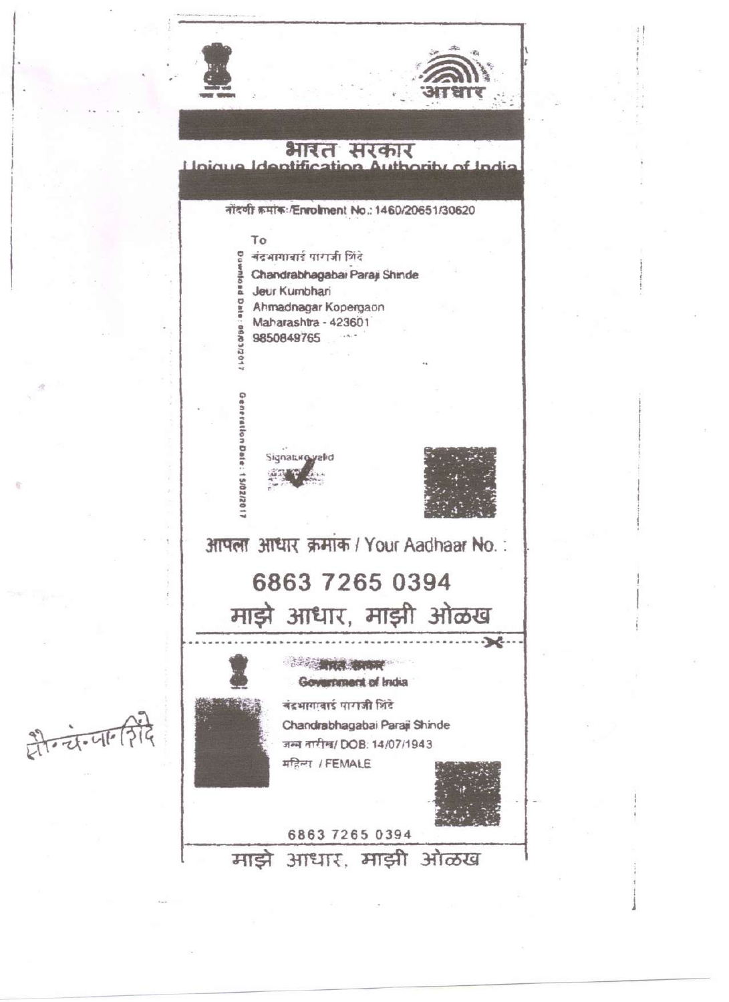

非古山的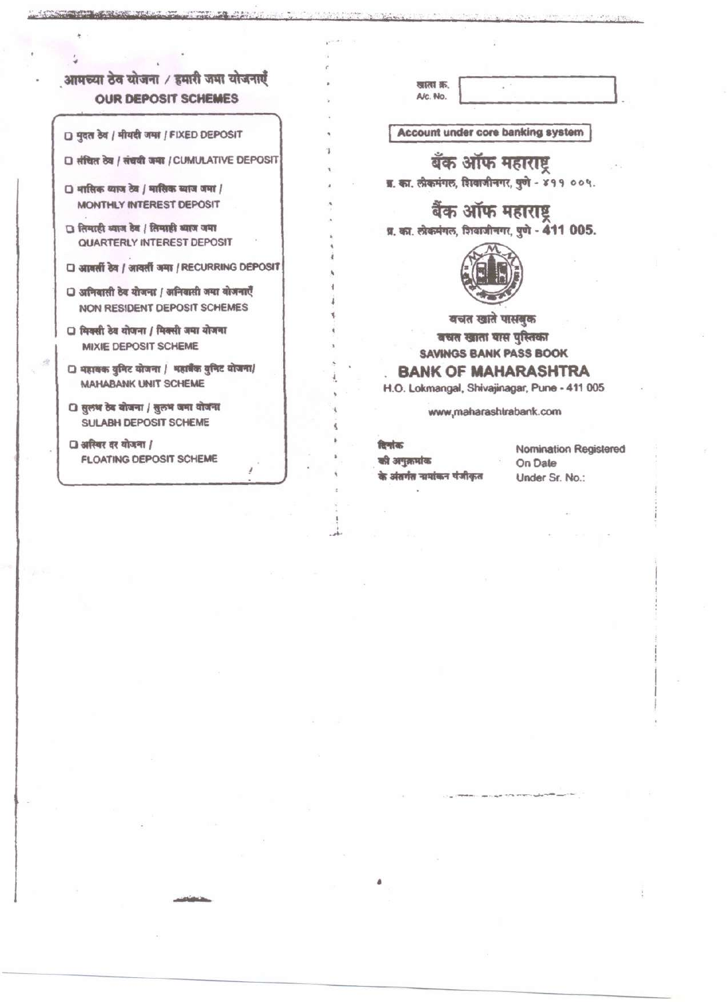## आमच्या ठेव योजना / हमारी जमा योजनाएँ **OUR DEPOSIT SCHEMES**

□ मुदत ठेब / मीयदी जमा / FIXED DEPOSIT

**A CONTRACTOR** 

□ संचित ठेव / संचवी जमा / CUMULATIVE DEPOSIT

- $\Box$  मासिक व्याज ठेव / मासिक ब्याज जमा / MONTHLY INTEREST DEPOSIT
- □ लिमाही व्याज देव / लिमाही व्याज जमा QUARTERLY INTEREST DEPOSIT
- □ आवर्ती देव / आदर्ती जमा / RECURRING DEPOSIT
- □ अनिवासी ठेव योजना / अनिवासी जमा बोजनाएँ NON RESIDENT DEPOSIT SCHEMES
- □ मिक्सी ठेव योजना / मिक्सी जमा योजना MIXIE DEPOSIT SCHEME
- □ महाबक बुनिट योजना / महाबैंक बुनिट योजना/ **MAHABANK UNIT SCHEME**
- □ सुलभ ठेव योजना / सुलभ जमा योजना SULABH DEPOSIT SCHEME

□ अस्थिर दर योजना / **FLOATING DEPOSIT SCHEME** 

खाता क्र. A/c. No.

**Account under core banking system** 

## बँक ऑफ महाराष्ट्र

ब्र. का. लोकमंगल, शिवाजीनगर, पुणे - ४११ ००५.

बैंक ऑफ महाराष्ट्र





बचत खाते पासबुक

बचत खाता यास पुस्तिका **SAVINGS BANK PASS BOOK** 

### **BANK OF MAHARASHTRA**

H.O. Lokmangal, Shivajinagar, Pune - 411 005

www.maharashtrabank.com

रिणोक की अनुक्रमांक के अंतर्गत नामांकन पंजीकृत

**Nomination Registered** On Date Under Sr. No.: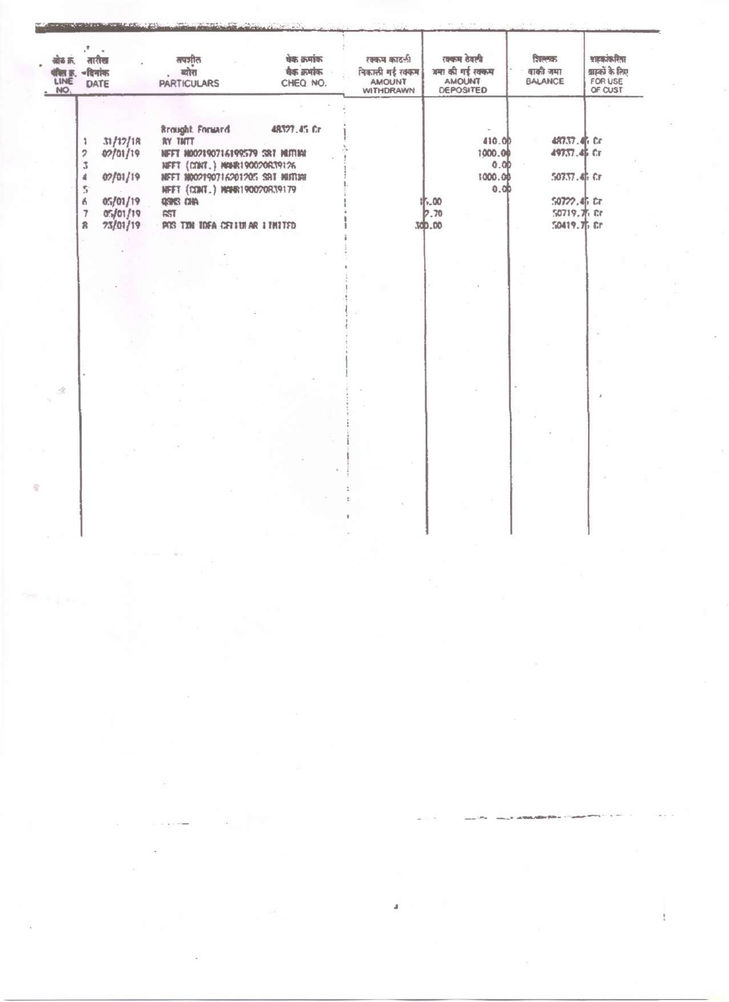| 48327.45 Cr<br>Brought Forward<br>31/12/18<br>410.00<br>RY TNTT<br>1000.00<br>02/01/19<br>NEFT N002190716199579 SRT MUTINI<br>0.00<br>NFFT (CONT.) MAN-8190020639126<br>02/01/19<br>1000.00<br>NEFT NO02190716201205 SBI MITORI<br>0.00<br>NFFT (CONT.) MANR190020839179<br>0.1/01/19<br>15.00<br><b>QSMS CHA</b><br>e<br>0.5/01/19<br>0.70<br>AST | श्राहकांकरिता<br>ग्रास्कों के लिए<br>बाकी जमा<br>FOR USE<br><b>BALANCE</b><br>OF CUST |
|----------------------------------------------------------------------------------------------------------------------------------------------------------------------------------------------------------------------------------------------------------------------------------------------------------------------------------------------------|---------------------------------------------------------------------------------------|
|                                                                                                                                                                                                                                                                                                                                                    |                                                                                       |
|                                                                                                                                                                                                                                                                                                                                                    |                                                                                       |
|                                                                                                                                                                                                                                                                                                                                                    | 48737.4h Cr                                                                           |
|                                                                                                                                                                                                                                                                                                                                                    | 49737.46 Cr                                                                           |
|                                                                                                                                                                                                                                                                                                                                                    |                                                                                       |
|                                                                                                                                                                                                                                                                                                                                                    | 50737.45 Cr                                                                           |
|                                                                                                                                                                                                                                                                                                                                                    |                                                                                       |
|                                                                                                                                                                                                                                                                                                                                                    | $50722.45$ Cr                                                                         |
|                                                                                                                                                                                                                                                                                                                                                    | 50719. W. Cr                                                                          |
| 300.00<br>23/01/19<br>POS TIN IDEA CELLULAR LIMITED<br>я                                                                                                                                                                                                                                                                                           | 50419. Th Cr                                                                          |

â

ö

 $\overline{\phantom{a}}$ 

 $\overline{\mathcal{L}}$ 

 $\widetilde{\mathcal{R}}$ 

ł